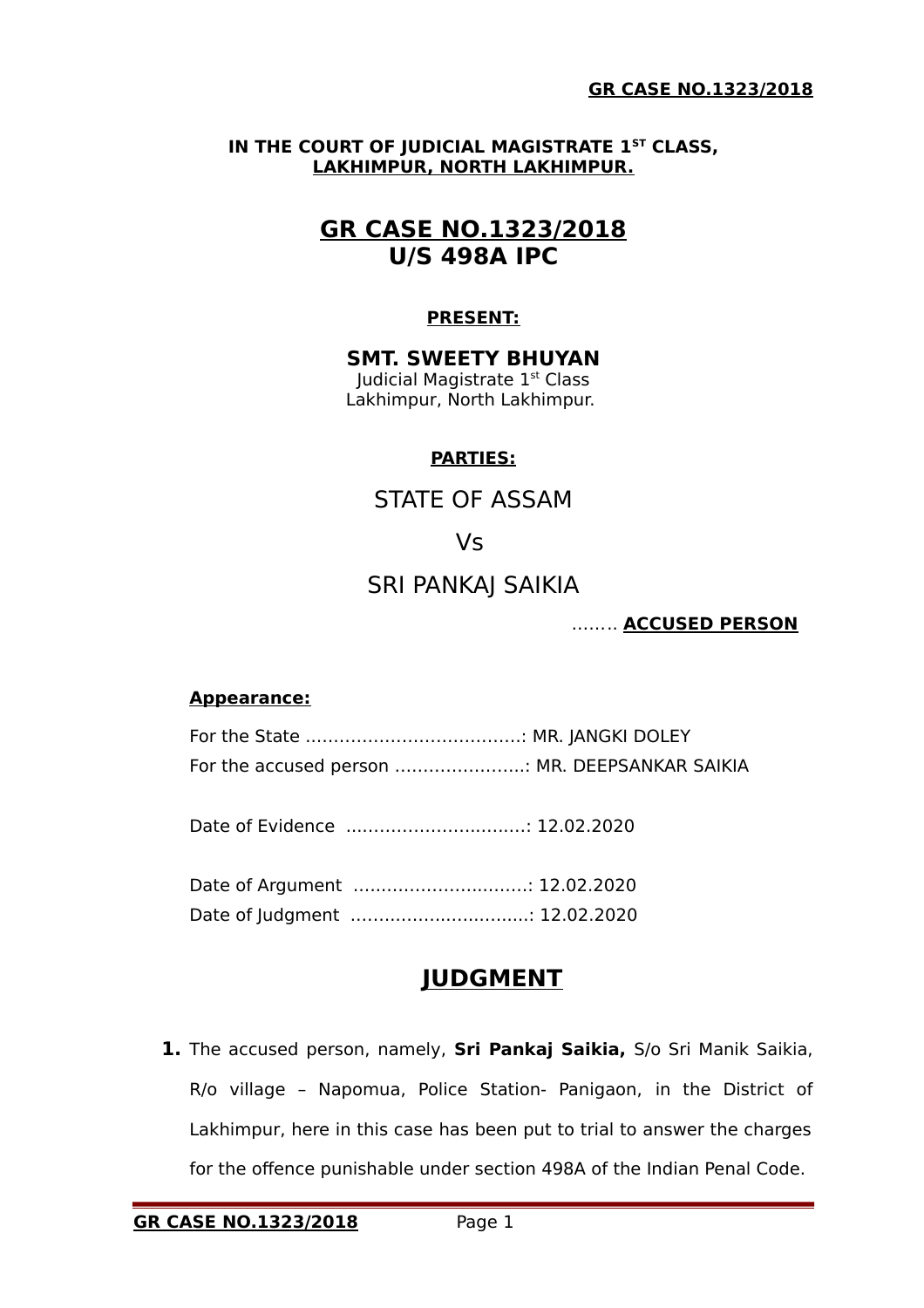### **IN THE COURT OF JUDICIAL MAGISTRATE 1ST CLASS, LAKHIMPUR, NORTH LAKHIMPUR.**

# **GR CASE NO.1323/2018 U/S 498A IPC**

### **PRESENT:**

#### **SMT. SWEETY BHUYAN** Judicial Magistrate 1st Class

Lakhimpur, North Lakhimpur.

### **PARTIES:**

STATE OF ASSAM

## Vs

## SRI PANKAJ SAIKIA

### …….. **ACCUSED PERSON**

### **Appearance:**

For the State ..………………………………: MR. JANGKI DOLEY For the accused person …………………..: MR. DEEPSANKAR SAIKIA

Date of Evidence ...………………...…..…: 12.02.2020

Date of Argument .…..……………...…….: 12.02.2020 Date of Judgment .……..……...…...….....: 12.02.2020

## **JUDGMENT**

**1.** The accused person, namely, **Sri Pankaj Saikia,** S/o Sri Manik Saikia, R/o village – Napomua, Police Station- Panigaon, in the District of Lakhimpur, here in this case has been put to trial to answer the charges for the offence punishable under section 498A of the Indian Penal Code.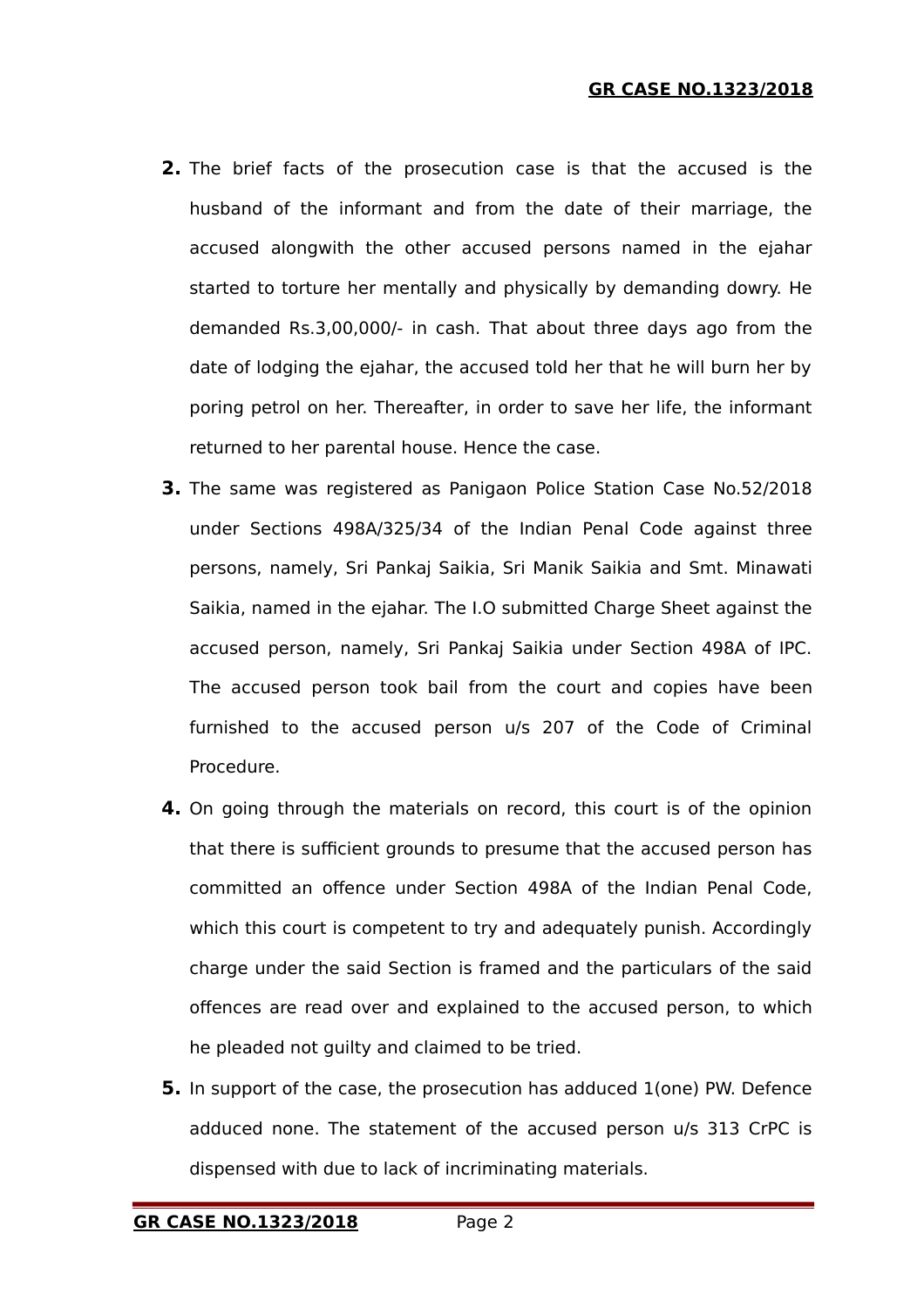- **2.** The brief facts of the prosecution case is that the accused is the husband of the informant and from the date of their marriage, the accused alongwith the other accused persons named in the ejahar started to torture her mentally and physically by demanding dowry. He demanded Rs.3,00,000/- in cash. That about three days ago from the date of lodging the ejahar, the accused told her that he will burn her by poring petrol on her. Thereafter, in order to save her life, the informant returned to her parental house. Hence the case.
- **3.** The same was registered as Panigaon Police Station Case No.52/2018 under Sections 498A/325/34 of the Indian Penal Code against three persons, namely, Sri Pankaj Saikia, Sri Manik Saikia and Smt. Minawati Saikia, named in the ejahar. The I.O submitted Charge Sheet against the accused person, namely, Sri Pankaj Saikia under Section 498A of IPC. The accused person took bail from the court and copies have been furnished to the accused person u/s 207 of the Code of Criminal Procedure.
- **4.** On going through the materials on record, this court is of the opinion that there is sufficient grounds to presume that the accused person has committed an offence under Section 498A of the Indian Penal Code, which this court is competent to try and adequately punish. Accordingly charge under the said Section is framed and the particulars of the said offences are read over and explained to the accused person, to which he pleaded not guilty and claimed to be tried.
- **5.** In support of the case, the prosecution has adduced 1(one) PW. Defence adduced none. The statement of the accused person u/s 313 CrPC is dispensed with due to lack of incriminating materials.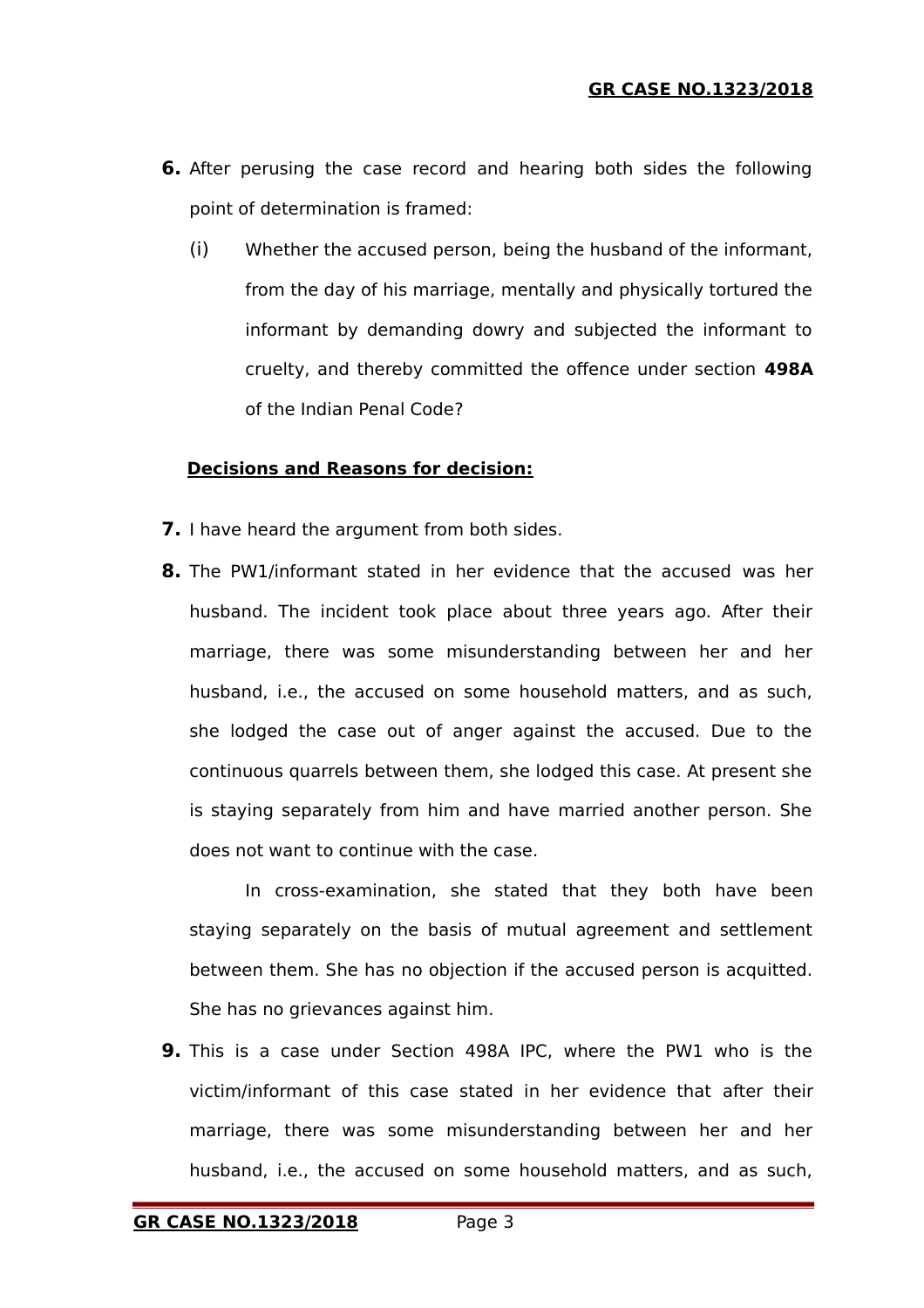- **6.** After perusing the case record and hearing both sides the following point of determination is framed:
	- (i) Whether the accused person, being the husband of the informant, from the day of his marriage, mentally and physically tortured the informant by demanding dowry and subjected the informant to cruelty, and thereby committed the offence under section **498A** of the Indian Penal Code?

#### **Decisions and Reasons for decision:**

- **7.** I have heard the argument from both sides.
- **8.** The PW1/informant stated in her evidence that the accused was her husband. The incident took place about three years ago. After their marriage, there was some misunderstanding between her and her husband, i.e., the accused on some household matters, and as such, she lodged the case out of anger against the accused. Due to the continuous quarrels between them, she lodged this case. At present she is staying separately from him and have married another person. She does not want to continue with the case.

In cross-examination, she stated that they both have been staying separately on the basis of mutual agreement and settlement between them. She has no objection if the accused person is acquitted. She has no grievances against him.

**9.** This is a case under Section 498A IPC, where the PW1 who is the victim/informant of this case stated in her evidence that after their marriage, there was some misunderstanding between her and her husband, i.e., the accused on some household matters, and as such,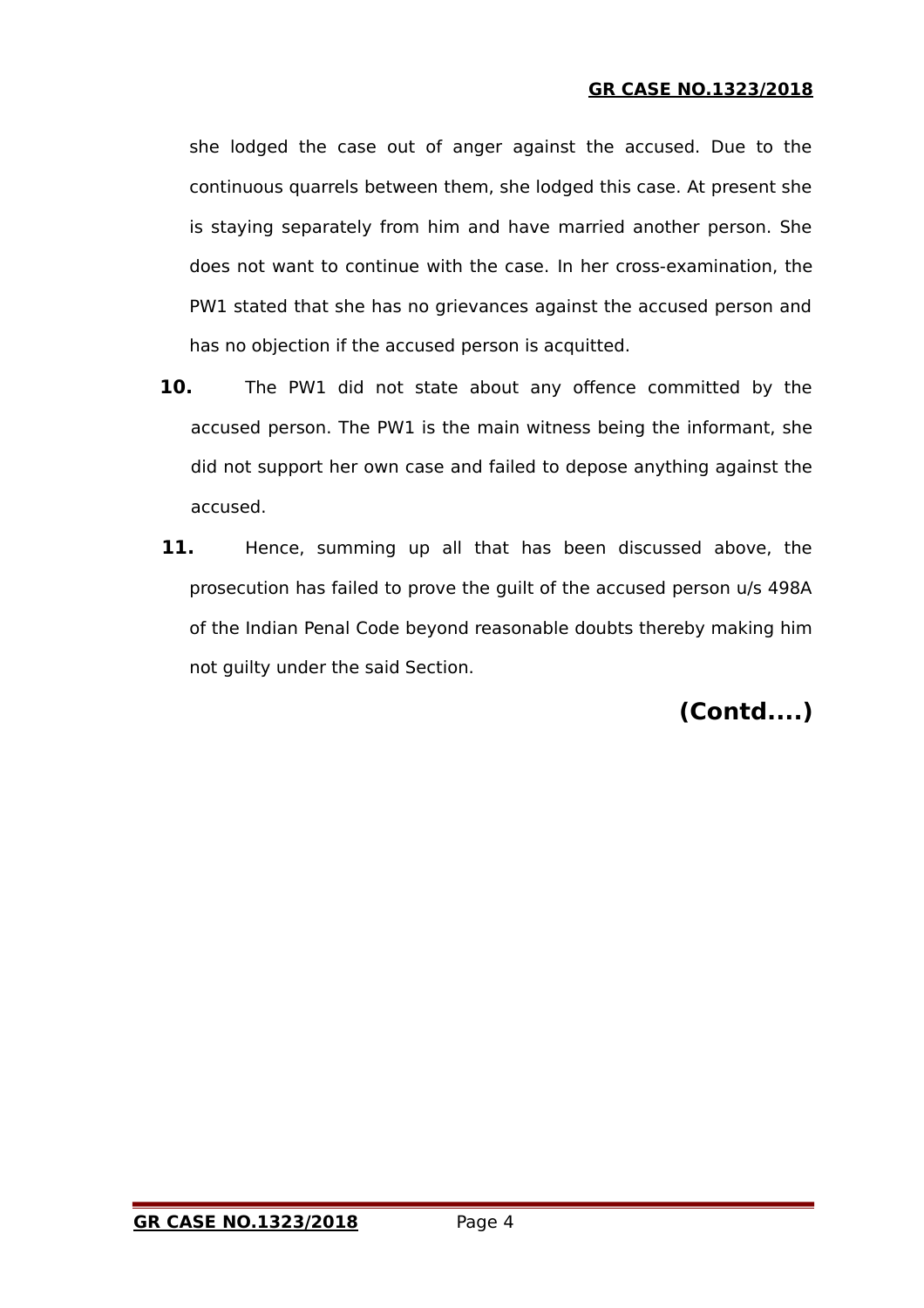**GR CASE NO.1323/2018**

she lodged the case out of anger against the accused. Due to the continuous quarrels between them, she lodged this case. At present she is staying separately from him and have married another person. She does not want to continue with the case. In her cross-examination, the PW1 stated that she has no grievances against the accused person and has no objection if the accused person is acquitted.

- **10.** The PW1 did not state about any offence committed by the accused person. The PW1 is the main witness being the informant, she did not support her own case and failed to depose anything against the accused.
- 11. Hence, summing up all that has been discussed above, the prosecution has failed to prove the guilt of the accused person u/s 498A of the Indian Penal Code beyond reasonable doubts thereby making him not guilty under the said Section.

**(Contd....)**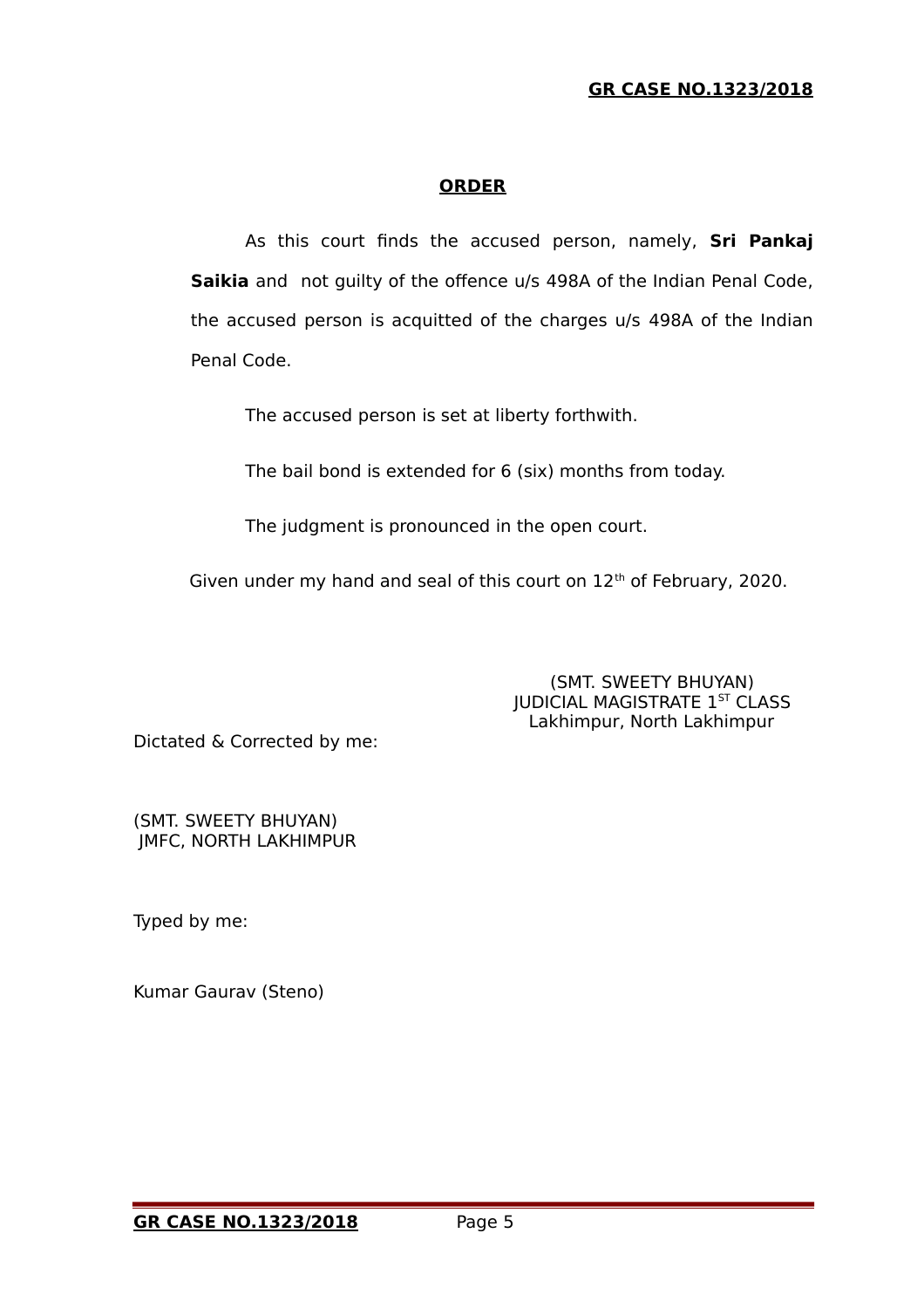### **GR CASE NO.1323/2018**

#### **ORDER**

As this court finds the accused person, namely, **Sri Pankaj Saikia** andnot guilty of the offence u/s 498A of the Indian Penal Code, the accused person is acquitted of the charges u/s 498A of the Indian Penal Code.

The accused person is set at liberty forthwith.

The bail bond is extended for 6 (six) months from today.

The judgment is pronounced in the open court.

Given under my hand and seal of this court on 12<sup>th</sup> of February, 2020.

 (SMT. SWEETY BHUYAN) **JUDICIAL MAGISTRATE 1ST CLASS** Lakhimpur, North Lakhimpur

Dictated & Corrected by me:

(SMT. SWEETY BHUYAN) JMFC, NORTH LAKHIMPUR

Typed by me:

Kumar Gaurav (Steno)